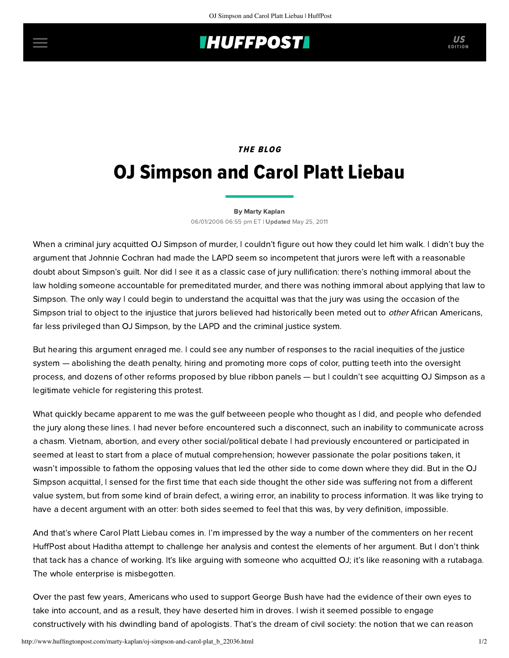## **IHUFFPOSTI** US

### THE BLOG

# OJ Simpson and Carol Platt Liebau

#### [By Marty Kaplan](http://www.huffingtonpost.com/author/marty-kaplan)

06/01/2006 06:55 pm ET | Updated May 25, 2011

When a criminal jury acquitted OJ Simpson of murder, I couldn't figure out how they could let him walk. I didn't buy the argument that Johnnie Cochran had made the LAPD seem so incompetent that jurors were left with a reasonable doubt about Simpson's guilt. Nor did I see it as a classic case of jury nullification: there's nothing immoral about the law holding someone accountable for premeditated murder, and there was nothing immoral about applying that law to Simpson. The only way I could begin to understand the acquittal was that the jury was using the occasion of the Simpson trial to object to the injustice that jurors believed had historically been meted out to other African Americans, far less privileged than OJ Simpson, by the LAPD and the criminal justice system.

But hearing this argument enraged me. I could see any number of responses to the racial inequities of the justice system — abolishing the death penalty, hiring and promoting more cops of color, putting teeth into the oversight process, and dozens of other reforms proposed by blue ribbon panels — but I couldn't see acquitting OJ Simpson as a legitimate vehicle for registering this protest.

What quickly became apparent to me was the gulf betweeen people who thought as I did, and people who defended the jury along these lines. I had never before encountered such a disconnect, such an inability to communicate across a chasm. Vietnam, abortion, and every other social/political debate I had previously encountered or participated in seemed at least to start from a place of mutual comprehension; however passionate the polar positions taken, it wasn't impossible to fathom the opposing values that led the other side to come down where they did. But in the OJ Simpson acquittal, I sensed for the first time that each side thought the other side was suffering not from a different value system, but from some kind of brain defect, a wiring error, an inability to process information. It was like trying to have a decent argument with an otter: both sides seemed to feel that this was, by very definition, impossible.

And that's where Carol Platt Liebau comes in. I'm impressed by the way a number of the commenters on her recent [HuffPost about Haditha attempt to challenge her analysis and contest the elements of her argument. But I don't thin](http://www.huffingtonpost.com/carol-platt-liebau/a-rule-of-thumb-in-discus_b_21995.html)k that tack has a chance of working. It's like arguing with someone who acquitted OJ; it's like reasoning with a rutabaga. The whole enterprise is misbegotten.

Over the past few years, Americans who used to support George Bush have had the evidence of their own eyes to take into account, and as a result, they have deserted him in droves. I wish it seemed possible to engage constructively with his dwindling band of apologists. That's the dream of civil society: the notion that we can reason